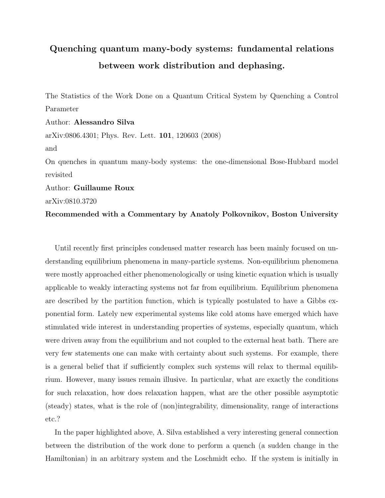## Quenching quantum many-body systems: fundamental relations between work distribution and dephasing.

The Statistics of the Work Done on a Quantum Critical System by Quenching a Control Parameter Author: Alessandro Silva arXiv:0806.4301; Phys. Rev. Lett. 101, 120603 (2008) and On quenches in quantum many-body systems: the one-dimensional Bose-Hubbard model revisited Author: Guillaume Roux

arXiv:0810.3720

Recommended with a Commentary by Anatoly Polkovnikov, Boston University

Until recently first principles condensed matter research has been mainly focused on understanding equilibrium phenomena in many-particle systems. Non-equilibrium phenomena were mostly approached either phenomenologically or using kinetic equation which is usually applicable to weakly interacting systems not far from equilibrium. Equilibrium phenomena are described by the partition function, which is typically postulated to have a Gibbs exponential form. Lately new experimental systems like cold atoms have emerged which have stimulated wide interest in understanding properties of systems, especially quantum, which were driven away from the equilibrium and not coupled to the external heat bath. There are very few statements one can make with certainty about such systems. For example, there is a general belief that if sufficiently complex such systems will relax to thermal equilibrium. However, many issues remain illusive. In particular, what are exactly the conditions for such relaxation, how does relaxation happen, what are the other possible asymptotic (steady) states, what is the role of (non)integrability, dimensionality, range of interactions etc.?

In the paper highlighted above, A. Silva established a very interesting general connection between the distribution of the work done to perform a quench (a sudden change in the Hamiltonian) in an arbitrary system and the Loschmidt echo. If the system is initially in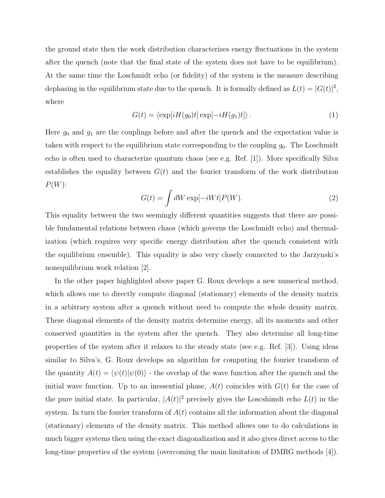the ground state then the work distribution characterizes energy fluctuations in the system after the quench (note that the final state of the system does not have to be equilibrium). At the same time the Loschmidt echo (or fidelity) of the system is the measure describing dephasing in the equilibrium state due to the quench. It is formally defined as  $L(t) = |G(t)|^2$ , where

$$
G(t) = \langle \exp[iH(g_0)t] \exp[-iH(g_1)t] \rangle.
$$
 (1)

Here  $g_0$  and  $g_1$  are the couplings before and after the quench and the expectation value is taken with respect to the equilibrium state corresponding to the coupling  $g_0$ . The Loschmidt echo is often used to characterize quantum chaos (see e.g. Ref. [1]). More specifically Silva establishes the equality between  $G(t)$  and the fourier transform of the work distribution  $P(W)$ :

$$
G(t) = \int dW \exp[-iWt] P(W).
$$
 (2)

This equality between the two seemingly different quantities suggests that there are possible fundamental relations between chaos (which governs the Loschmidt echo) and thermalization (which requires very specific energy distribution after the quench consistent with the equilibrium ensemble). This equality is also very closely connected to the Jarzynski's nonequilibrium work relation [2].

In the other paper highlighted above paper G. Roux develops a new numerical method, which allows one to directly compute diagonal (stationary) elements of the density matrix in a arbitrary system after a quench without need to compute the whole density matrix. These diagonal elements of the density matrix determine energy, all its moments and other conserved quantities in the system after the quench. They also determine all long-time properties of the system after it relaxes to the steady state (see e.g. Ref. [3]). Using ideas similar to Silva's, G. Roux develops an algorithm for computing the fourier transform of the quantity  $A(t) = \langle \psi(t) | \psi(0) \rangle$  - the overlap of the wave function after the quench and the initial wave function. Up to an inessential phase,  $A(t)$  coincides with  $G(t)$  for the case of the pure initial state. In particular,  $|A(t)|^2$  precisely gives the Loscshimdt echo  $L(t)$  in the system. In turn the fourier transform of  $A(t)$  contains all the information about the diagonal (stationary) elements of the density matrix. This method allows one to do calculations in much bigger systems then using the exact diagonalization and it also gives direct access to the long-time properties of the system (overcoming the main limitation of DMRG methods [4]).